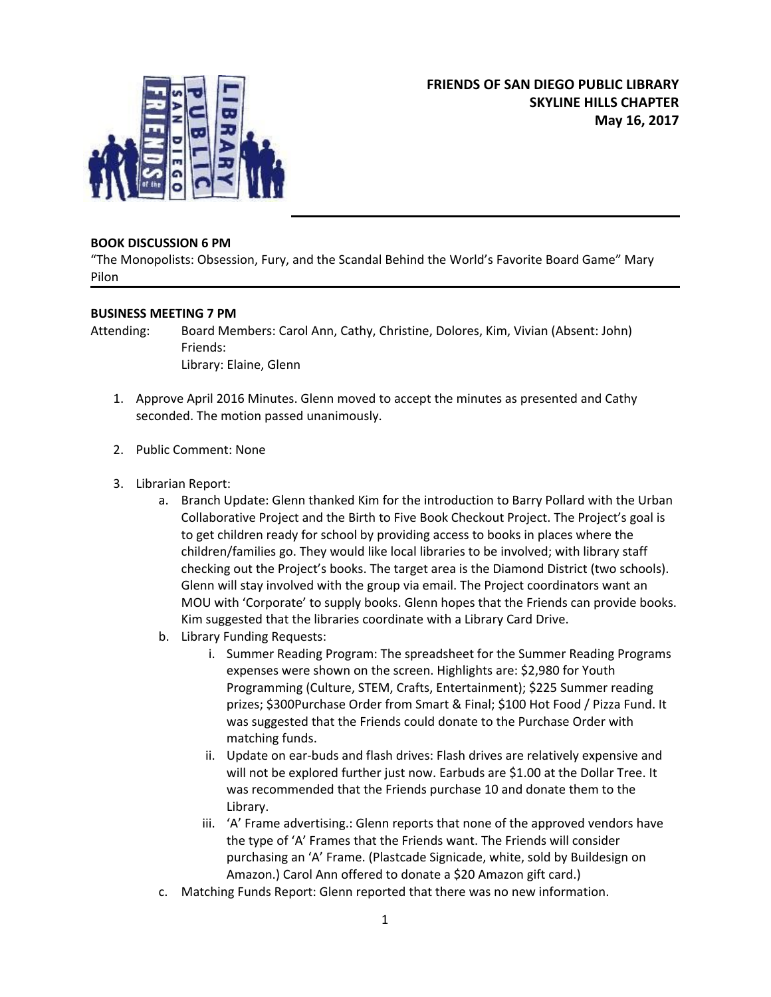

## **BOOK DISCUSSION 6 PM**

"The Monopolists: Obsession, Fury, and the Scandal Behind the World's Favorite Board Game" Mary Pilon

## **BUSINESS MEETING 7 PM**

Attending: Board Members: Carol Ann, Cathy, Christine, Dolores, Kim, Vivian (Absent: John) Friends: Library: Elaine, Glenn

- 1. Approve April 2016 Minutes. Glenn moved to accept the minutes as presented and Cathy seconded. The motion passed unanimously.
- 2. Public Comment: None
- 3. Librarian Report:
	- a. Branch Update: Glenn thanked Kim for the introduction to Barry Pollard with the Urban Collaborative Project and the Birth to Five Book Checkout Project. The Project's goal is to get children ready for school by providing access to books in places where the children/families go. They would like local libraries to be involved; with library staff checking out the Project's books. The target area is the Diamond District (two schools). Glenn will stay involved with the group via email. The Project coordinators want an MOU with 'Corporate' to supply books. Glenn hopes that the Friends can provide books. Kim suggested that the libraries coordinate with a Library Card Drive.
	- b. Library Funding Requests:
		- i. Summer Reading Program: The spreadsheet for the Summer Reading Programs expenses were shown on the screen. Highlights are: \$2,980 for Youth Programming (Culture, STEM, Crafts, Entertainment); \$225 Summer reading prizes; \$300Purchase Order from Smart & Final; \$100 Hot Food / Pizza Fund. It was suggested that the Friends could donate to the Purchase Order with matching funds.
		- ii. Update on ear-buds and flash drives: Flash drives are relatively expensive and will not be explored further just now. Earbuds are \$1.00 at the Dollar Tree. It was recommended that the Friends purchase 10 and donate them to the Library.
		- iii. 'A' Frame advertising.: Glenn reports that none of the approved vendors have the type of 'A' Frames that the Friends want. The Friends will consider purchasing an 'A' Frame. (Plastcade Signicade, white, sold by Buildesign on Amazon.) Carol Ann offered to donate a \$20 Amazon gift card.)
	- c. Matching Funds Report: Glenn reported that there was no new information.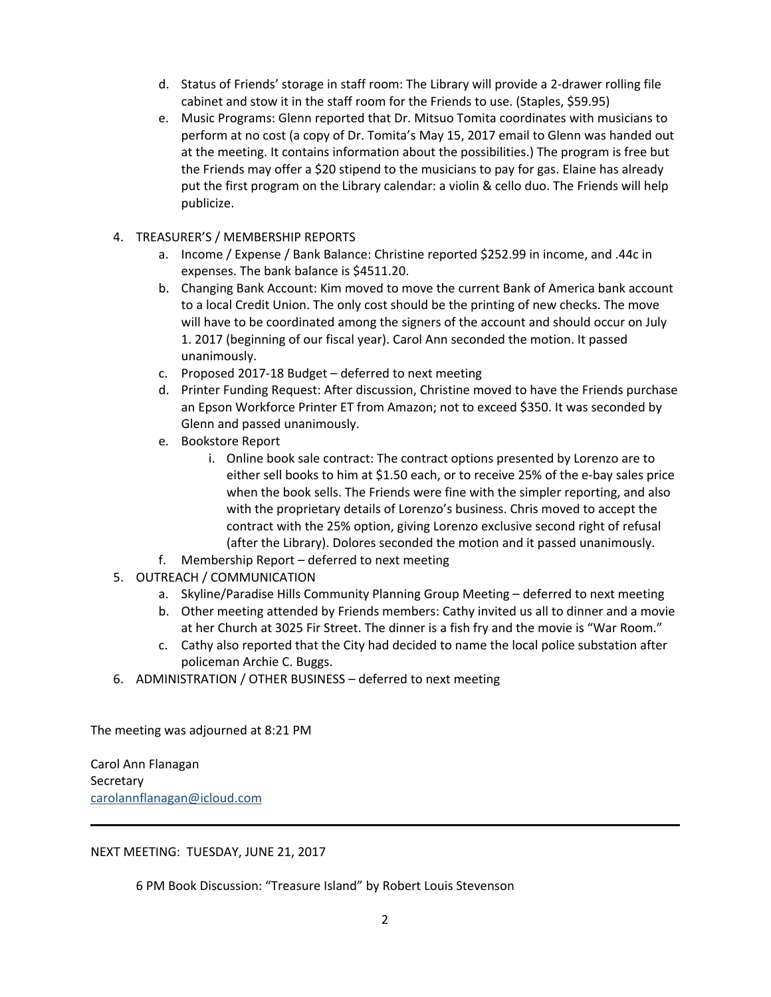- d. Status of Friends' storage in staff room: The Library will provide a 2-drawer rolling file cabinet and stow it in the staff room for the Friends to use. (Staples, \$59.95)
- e. Music Programs: Glenn reported that Dr. Mitsuo Tomita coordinates with musicians to perform at no cost (a copy of Dr. Tomita's May 15, 2017 email to Glenn was handed out at the meeting. It contains information about the possibilities.) The program is free but the Friends may offer a \$20 stipend to the musicians to pay for gas. Elaine has already put the first program on the Library calendar: a violin & cello duo. The Friends will help publicize.
- 4. TREASURER'S / MEMBERSHIP REPORTS
	- a. Income / Expense / Bank Balance: Christine reported \$252.99 in income, and .44c in expenses. The bank balance is \$4511.20.
	- b. Changing Bank Account: Kim moved to move the current Bank of America bank account to a local Credit Union. The only cost should be the printing of new checks. The move will have to be coordinated among the signers of the account and should occur on July 1. 2017 (beginning of our fiscal year). Carol Ann seconded the motion. It passed unanimously.
	- c. Proposed 2017-18 Budget deferred to next meeting
	- d. Printer Funding Request: After discussion, Christine moved to have the Friends purchase an Epson Workforce Printer ET from Amazon; not to exceed \$350. It was seconded by Glenn and passed unanimously.
	- e. Bookstore Report
		- i. Online book sale contract: The contract options presented by Lorenzo are to either sell books to him at \$1.50 each, or to receive 25% of the e-bay sales price when the book sells. The Friends were fine with the simpler reporting, and also with the proprietary details of Lorenzo's business. Chris moved to accept the contract with the 25% option, giving Lorenzo exclusive second right of refusal (after the Library). Dolores seconded the motion and it passed unanimously.
	- f. Membership Report deferred to next meeting
- 5. OUTREACH / COMMUNICATION
	- a. Skyline/Paradise Hills Community Planning Group Meeting deferred to next meeting
	- b. Other meeting attended by Friends members: Cathy invited us all to dinner and a movie at her Church at 3025 Fir Street. The dinner is a fish fry and the movie is "War Room."
	- c. Cathy also reported that the City had decided to name the local police substation after policeman Archie C. Buggs.
- 6. ADMINISTRATION / OTHER BUSINESS deferred to next meeting

The meeting was adjourned at 8:21 PM

Carol Ann Flanagan Secretary [carolannflanagan@icloud.com](mailto:carolannflanagan@icloud.com)

NEXT MEETING: TUESDAY, JUNE 21, 2017

6 PM Book Discussion: "Treasure Island" by Robert Louis Stevenson